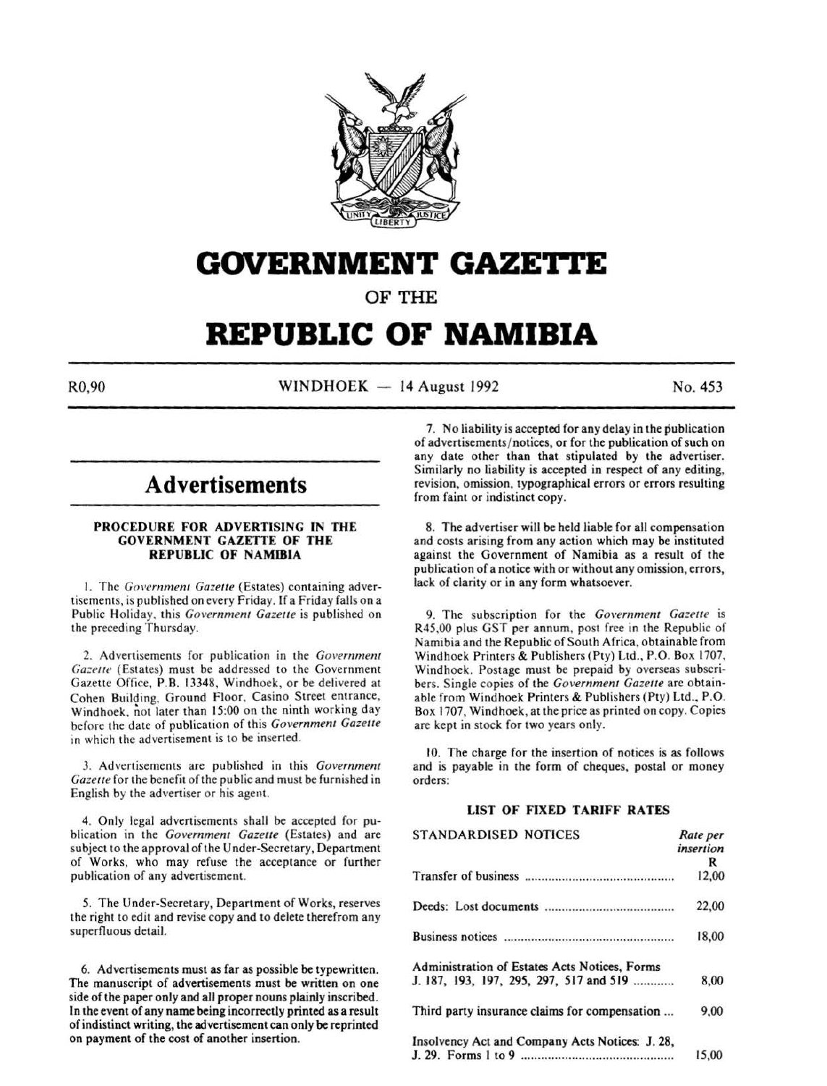

# **GOVERNMENT GAZETTE**

OF THE

# **REPUBLIC OF NAMIBIA**

 $R0,90$  WINDHOEK - 14 August 1992 No. 453

# **Advertisements**

# PROCEDURE FOR ADVERTISING IN THE GOVERNMENT GAZETTE OF THE REPUBLIC OF NAMIBIA

1. The Government Gazette (Estates) containing advertisements, is published on every Friday. If a Friday falls on a Public Holiday. this *Government Gazetfe* is published on the preceding Thursday.

2. Advertisements for publication in the *Government*  Gazette (Estates) must be addressed to the Government Gazette Office. P.B. 13348, Windhoek, or be delivered at Cohen Building. Ground Floor, Casino Street entrance, Windhoek. not later than 15:00 on the ninth working day before the date of publication of this *Governmem Gazelle*  in which the advertisement is to be inserted.

*3.* Advertisements are published in this *Government Gazette* for the benefit of the public and must be furnished in English by the advertiser or his agent.

4. Only legal advertisements shall be accepted for publication in the *Government Gazette* (Estates) and are subject to the approval of the U nder-Sccretary, Department of Works, who may refuse the acceptance or further publication of any advertisement.

5. The Under-Secretary, Department of Works, reserves the right to edit and revise copy and to delete therefrom any superfluous detail.

6. Advertisements must as far as possible be typewritten. The manuscript of advertisements must be written on one side of the paper only and all proper nouns plainly inscribed. In the event of any name being incorrectly printed as a result of indistinct writing, the advertisement can only be reprinted on payment of the cost of another insertion.

7. No liability is accepted for any delay in the publication of advertisements/ notices, or for the publication of such on any date other than that stipulated by the advertiser. Similarly no liability is accepted in respect of any editing, revision, omission, typographical errors or errors resulting from faint or indistinct copy.

8. The advertiser will be held liable for all compensation and costs arising from any action which may be instituted against the Government of Namibia as a result of the publication of a notice with or without any omission, errors, lack of clarity or in any form whatsoever.

9. The subscription for the *Government Gazette* is R45,00 plus GST per annum, post free in the Republic of Namibia and the Republic of South Africa, obtainable from Windhoek Printers & Publishers (Pty) Ltd., P.O. Box 1707, Windhoek. Postage must be prepaid by overseas subscribers. Single copies of the *Government Gazelle* are obtainable from Windhoek Printers & Publishers (Pty) Ltd., P.O. Box 1707, Windhoek, at the price as printed on copy. Copies are kept in stock for two years only.

10. The charge for the insertion of notices is as follows and is payable in the form of cheques, postal or money orders:

# LIST OF FIXED TARIFF RATES

| <b>STANDARDISED NOTICES</b>                     | Rate per  |
|-------------------------------------------------|-----------|
|                                                 | insertion |
|                                                 | R         |
|                                                 | 12,00     |
|                                                 | 22,00     |
|                                                 | 18,00     |
| Administration of Estates Acts Notices, Forms   |           |
| J. 187, 193, 197, 295, 297, 517 and 519         | 8,00      |
| Third party insurance claims for compensation   | 9,00      |
| Insolvency Act and Company Acts Notices: J. 28, |           |
|                                                 | 15.00     |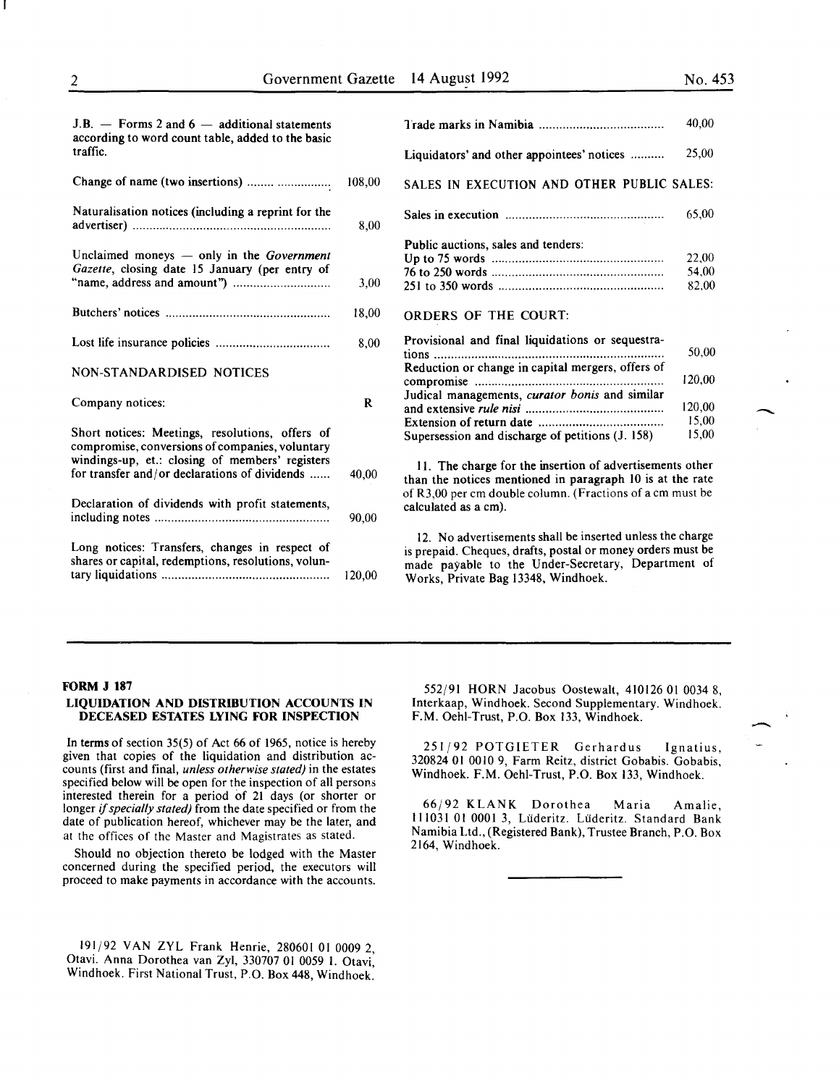**-**

-

| $J.B.$ – Forms 2 and 6 – additional statements<br>according to word count table, added to the basic   |        |                                                                                                                                                                                                                       | 40.00  |
|-------------------------------------------------------------------------------------------------------|--------|-----------------------------------------------------------------------------------------------------------------------------------------------------------------------------------------------------------------------|--------|
| traffic.                                                                                              |        | Liquidators' and other appointees' notices                                                                                                                                                                            | 25,00  |
| Change of name (two insertions)                                                                       | 108,00 | SALES IN EXECUTION AND OTHER PUBLIC SALES:                                                                                                                                                                            |        |
| Naturalisation notices (including a reprint for the                                                   | 8,00   |                                                                                                                                                                                                                       | 65,00  |
|                                                                                                       |        | Public auctions, sales and tenders:                                                                                                                                                                                   |        |
| Unclaimed moneys - only in the Government                                                             |        |                                                                                                                                                                                                                       | 22,00  |
| Gazette, closing date 15 January (per entry of                                                        |        |                                                                                                                                                                                                                       | 54,00  |
|                                                                                                       | 3,00   |                                                                                                                                                                                                                       | 82,00  |
|                                                                                                       | 18,00  | <b>ORDERS OF THE COURT:</b>                                                                                                                                                                                           |        |
|                                                                                                       | 8.00   | Provisional and final liquidations or sequestra-                                                                                                                                                                      | 50,00  |
|                                                                                                       |        |                                                                                                                                                                                                                       |        |
| NON-STANDARDISED NOTICES                                                                              |        | Reduction or change in capital mergers, offers of                                                                                                                                                                     | 120,00 |
|                                                                                                       |        |                                                                                                                                                                                                                       |        |
| Company notices:                                                                                      | R      | Judical managements, curator bonis and similar                                                                                                                                                                        | 120,00 |
|                                                                                                       |        |                                                                                                                                                                                                                       | 15,00  |
| Short notices: Meetings, resolutions, offers of                                                       |        | Supersession and discharge of petitions (J. 158)                                                                                                                                                                      | 15,00  |
| compromise, conversions of companies, voluntary                                                       |        |                                                                                                                                                                                                                       |        |
| windings-up, et.: closing of members' registers<br>for transfer and/or declarations of dividends      | 40,00  | 11. The charge for the insertion of advertisements other<br>than the notices mentioned in paragraph 10 is at the rate                                                                                                 |        |
| Declaration of dividends with profit statements,                                                      | 90.00  | of R3,00 per cm double column. (Fractions of a cm must be<br>calculated as a cm).                                                                                                                                     |        |
| Long notices: Transfers, changes in respect of<br>shares or capital, redemptions, resolutions, volun- | 120,00 | 12. No advertisements shall be inserted unless the charge<br>is prepaid. Cheques, drafts, postal or money orders must be<br>made payable to the Under-Secretary, Department of<br>Works, Private Bag 13348, Windhoek. |        |

## FORM J 187

# LIQUIDATION AND DISTRIBUTION ACCOUNTS IN DECEASED ESTATES LYING FOR INSPECTION

In terms of section  $35(5)$  of Act 66 of 1965, notice is hereby given that copies of the liquidation and distribution accounts (first and final, *unless otherwise stated)* in the estates specified below will be open for the inspection of all persons interested therein for a period of 21 days (or shorter or longer if *specially stated)* from the date specified or from the date of publication hereof, whichever may be the later, and at the offices of the Master and Magistrates as stated.

Should no objection thereto be lodged with the Master concerned during the specified period, the executors will proceed to make payments in accordance with the accounts.

191/92 VAN ZYL Frank Henrie, 280601 01 0009 2, Otavi. Anna Dorothea van Zyl, 330707 01 0059 I. Otavi, Windhoek. First National Trust, P.O. Box 448, Windhoek.

552/91 HORN Jacobus Oostewalt, 410126 OJ 0034 8, Interkaap, Windhoek. Second Supplementary. Windhoek. F.M. Oehl-Trust, P.O. Box 133, Windhoek.

251/92 POTGIETER Gerhardus Ignatius, 320824 01 0010 9, Farm Reitz, district Gobabis. Gobabis, Windhoek. F.M. Oehl-Trust, P.O. Box 133, Windhoek.

66/92 KLANK Dorothea Maria Amalie, 111031 01 0001 3, Lüderitz. Lüderitz. Standard Bank Namibia Ltd., (Registered Bank), Trustee Branch, P.O. Box 2164, Windhoek.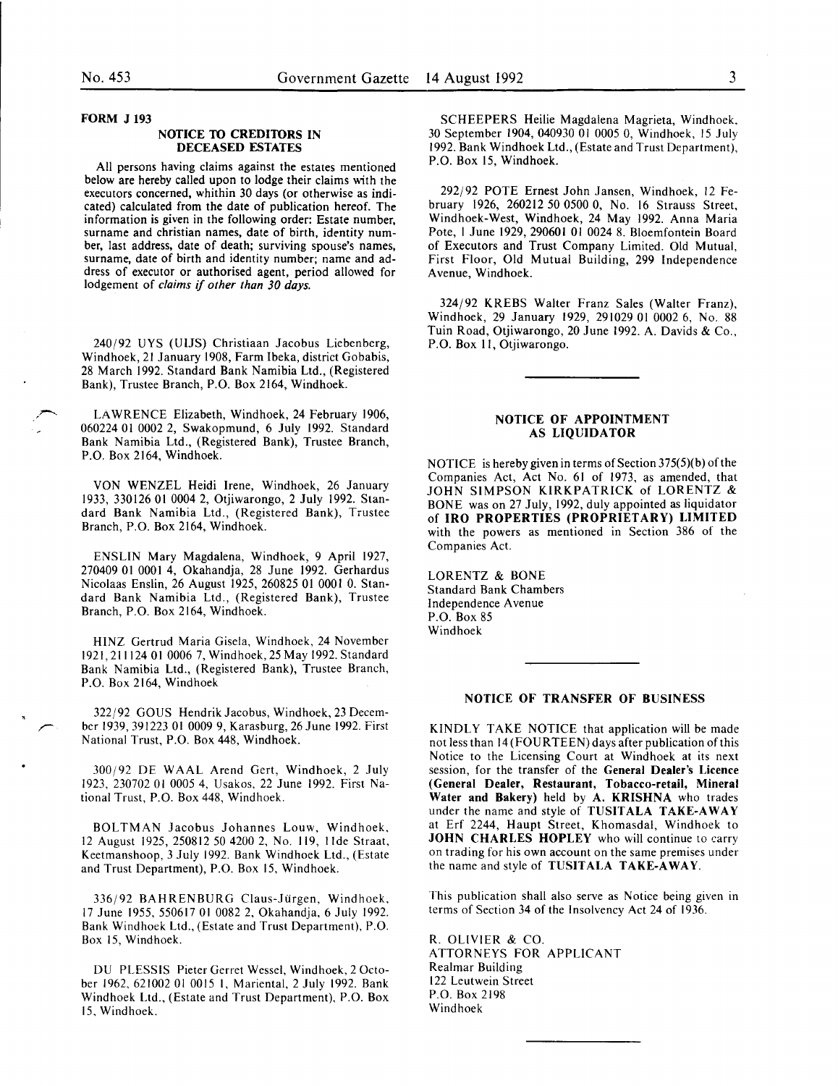## FORM J 193

#### NOTICE TO CREDITORS IN DECEASED ESTATES

All persons having claims against the estates mentioned below are hereby called upon to lodge their claims with the executors concerned, whithin 30 days (or otherwise as indicated) calculated from the date of publication hereof. The information is given in the following order: Estate number, surname and christian names, date of birth, identity number, last address, date of death; surviving spouse's names, surname, date of birth and identity number; name and address of executor or authorised agent, period allowed for lodgement of *claims* if *other than 30 days.* 

240/92 UYS (UIJS) Christiaan Jacobus Liebenberg, Windhoek, 21 January 1908, Farm Ibeka, district Gobabis, 28 March 1992. Standard Bank Namibia Ltd., (Registered Bank), Trustee Branch, P.O. Box 2164, Windhoek.

LAWRENCE Elizabeth, Windhoek, 24 February 1906, 060224 01 0002 2, Swakopmund, 6 July 1992. Standard Bank Namibia Ltd., (Registered Bank), Trustee Branch, P.O. Box 2164, Windhoek.

VON WENZEL Heidi Irene, Windhoek, 26 January 1933, 330126 01 0004 2, Otjiwarongo, 2 July 1992. Standard Bank Namibia Ltd., (Registered Bank), Trustee Branch, P.O. Box 2164, Windhoek.

ENSLIN Mary Magdalena, Windhoek, 9 April 1927, 270409 01 0001 4, Okahandja, 28 June 1992. Gerhardus Nicolaas Enslin, 26 August 1925, 260825 01 0001 0. Standard Bank Namibia Ltd., (Registered Bank), Trustee Branch, P.O. Box 2164, Windhoek.

HINZ Gertrud Maria Gisela, Windhoek, 24 November 1921, 211124 01 0006 7, Windhoek, 25 May 1992. Standard Bank Namibia Ltd., (Registered Bank), Trustee Branch, P.O. Box 2164, Windhoek

322/92 GOUS Hendrik Jacobus, Windhoek, 23 December 1939, 391223 01 0009 9, Karas burg, 26 June 1992. First National Trust, P.O. Box 448, Windhoek.

300/92 DE WAAL Arend Gert, Windhoek, 2 July 1923, 230702 01 0005 4, Usakos, 22 June 1992. First National Trust, P.O. Box 448, Windhoek.

BOLTMAN Jacobus Johannes Louw, Windhoek, 12 August 1925, 250812 50 4200 2, No. 119, tide Straat, Keetmanshoop, 3 July 1992. Bank Windhoek Ltd., (Estate and Trust Department), P.O. Box 15, Windhoek.

336/92 BAHRENBURG Claus-Jürgen, Windhoek, 17 June 1955, 550617 01 0082 2, Okahandja, 6 July 1992. Bank Windhoek Ltd., (Estate and Trust Department), P.O. Box 15, Windhoek.

DU PLESSIS Pieter Gerret Wessel, Windhoek, 2 October 1962, 621002 01 0015 I, Mariental, 2 July 1992. Bank Windhoek Ltd., (Estate and Trust Department), P.O. Box 15. Windhoek.

SCHEEPERS Heilie Magdalena Magrieta, Windhoek. 30 September 1904, 040930 01 0005 0, Windhoek, 15 July 1992. Bank Windhoek Ltd., (Estate and Trust Department), P.O. Box 15, Windhoek.

292/92 POTE Ernest John Jansen, Windhoek, 12 February 1926, 260212 50 0500 0, No. 16 Strauss Street, Windhoek-West, Windhoek, 24 May 1992. Anna Maria Pote, I June 1929, 290601 01 0024 8. Bloemfontein Board of Executors and Trust Company Limited. Old Mutual, First Floor, Old Mutual Building, 299 Independence Avenue, Windhoek.

324/92 KREBS Walter Franz Sales (Walter Franz), Windhoek, 29 January 1929, 291029 01 0002 6, No. 88 Tuin Road, Otjiwarongo, 20 June 1992. A. Davids & Co., P.O. Box II, Otjiwarongo.

# NOTICE OF APPOINTMENT AS LIQUIDATOR

NOTICE is hereby given in terms of Section 375(5)(b) of the Companies Act, Act No. 61 of 1973, as amended, that JOHN SIMPSON KIRKPATRICK of LORENTZ & BONE was on 27 July, 1992, duly appointed as liquidator of IRO PROPERTIES (PROPRIETARY) LIMITED with the powers as mentioned in Section 386 of the Companies Act.

LORENTZ & BONE Standard Bank Chambers Independence Avenue P.O. Box 85 Windhoek

# NOTICE OF TRANSFER OF BUSINESS

KINDLY TAKE NOTICE that application will be made not less than 14 (FOURTEEN) days after publication of this Notice to the Licensing Court at Windhoek at its next session, for the transfer of the General Dealer's Licence (General Dealer, Restaurant, Tobacco-retail, Mineral Water and Bakery) held by A. KRISHNA who trades under the name and style of TUSITALA TAKE-AWAY at Erf 2244, Haupt Street, Khomasdal, Windhoek to JOHN CHARLES HOPLEY who will continue to carry on trading for his own account on the same premises under the name and style of TUSITALA TAKE-AWAY.

This publication shall also serve as Notice being given in terms of Section 34 of the Insolvency Act 24 of 1936.

R. OLIVIER & CO. ATTORNEYS FOR APPLICANT Realmar Building 122 Leutwein Street P.O. Box 2198 Windhoek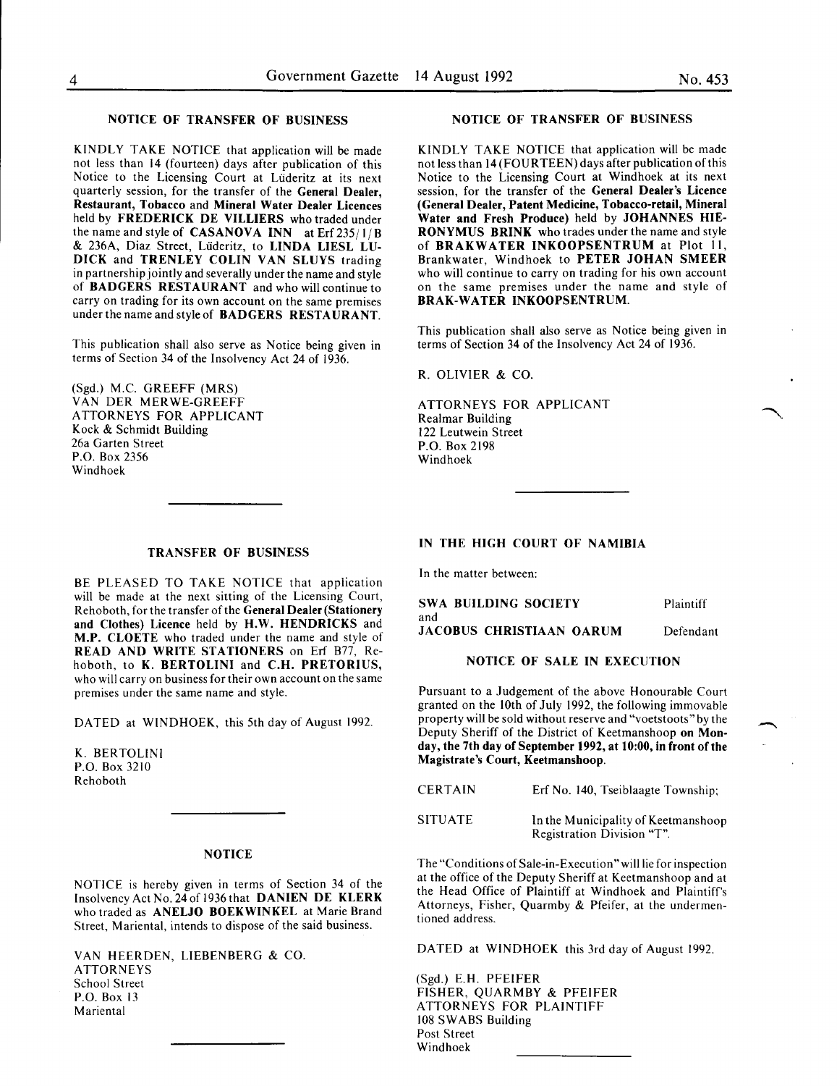# NOTICE OF TRANSFER OF BUSINESS

KINDLY TAKE NOTICE that application will be made not less than 14 (fourteen) days after publication of this Notice to the Licensing Court at Uideritz at its next quarterly session, for the transfer of the General Dealer, Restaurant, Tobacco and Mineral Water Dealer Licences held by FREDERICK DE VILLIERS who traded under the name and style of **CASANOVA INN** at Erf  $235/1/B$ & 236A, Diaz Street, Liideritz, to LINDA LIESL LV-DICK and TRENLEY COLIN VAN SLUYS trading in partnership jointly and severally under the name and style of BADGERS RESTAURANT and who will continue to carry on trading for its own account on the same premises under the name and style of BADGERS RESTAURANT.

This publication shall also serve as Notice being given in terms of Section 34 of the Insolvency Act 24 of 1936.

(Sgd.) M.C. GREEFF (MRS) VAN DER MERWE-GREEFF ATTORNEYS FOR APPLICANT Kock & Schmidt Building 26a Garten Street P.O. Box 2356 Windhoek

# TRANSFER OF BUSINESS

BE PLEASED TO TAKE NOTICE that application will be made at the next sitting of the Licensing Court, Rehoboth, for the transfer of the General Dealer (Stationery and Clothes) Licence held by H.W. HENDRICKS and M.P. CLOETE who traded under the name and style of READ AND WRITE STATIONERS on Erf 877, Rehoboth, to K. BERTOLINI and C.H. PRETORIUS, who will carry on business for their own account on the same premises under the same name and style.

DATED at WINDHOEK, this 5th day of August 1992.

K. BERTOLINI P.O. Box 3210 Rehoboth

# NOTICE

NOTICE is hereby given in terms of Section 34 of the Insolvency Act No. 24 of 1936 that DANIEN DE KLERK who traded as ANELJO BOEKWINKEL at Marie Brand Street, Mariental, intends to dispose of the said business.

VAN HEERDEN, LIESENBERG & CO. ATTORNEYS School Street P.O. Box 13 **Mariental** 

#### NOTICE OF TRANSFER OF BUSINESS

KINDLY TAKE NOTICE that application will be made not less than 14 (FOURTEEN) days after publication of this Notice to the Licensing Court at Windhoek at its next session, for the transfer of the General Dealer's Licence (General Dealer, Patent Medicine, Tobacco-retail, Mineral Water and Fresh Produce) held by JOHANNES HIE-RONYMUS BRINK who trades under the name and style of BRAKWATER INKOOPSENTRUM at Plot II, Brankwater, Windhoek to PETER JOHAN SMEER who will continue to carry on trading for his own account on the same premises under the name and style of BRAK-WATER INKOOPSENTRUM.

This publication shall also serve as Notice being given in terms of Section 34 of the Insolvency Act 24 of 1936.

R. OLIVIER & CO.

ATTORNEYS FOR APPLICANT Realmar Building 122 Leutwein Street P.O. Box 2198 Windhoek

## IN THE HIGH COURT OF NAMIBIA

In the matter between:

SWA BUILDING SOCIETY and JACOBUS CHRISTIAAN OARUM Plaintiff Defendant

# NOTICE OF SALE IN EXECUTION

Pursuant to a Judgement of the above Honourable Court granted on the lOth of July 1992, the following immovable property will be sold without reserve and "voetstoots" by the Deputy Sheriff of the District of Keetmanshoop on Monday, the 7th day of September 1992, at 10:00, in front of the Magistrate's Court, Keetmanshoop.

| <b>CERTAIN</b> | Erf No. 140, Tseiblaagte Township;                                |
|----------------|-------------------------------------------------------------------|
| <b>SITUATE</b> | In the Municipality of Keetmanshoop<br>Registration Division "T". |

The "Conditions of Sale-in-Execution" will lie for inspection at the office of the Deputy Sheriff at Keetmanshoop and at the Head Office of Plaintiff at Windhoek and Plaintiff's Attorneys, Fisher, Quarmby & Pfeifer, at the undermentioned address.

DATED at WINDHOEK this 3rd day of August 1992.

(Sgd.) E.H. PFEIFER FISHER, QUARMBY & PFEIFER ATTORNEYS FOR PLAINTIFF 108 SWABS Building Post Street Windhoek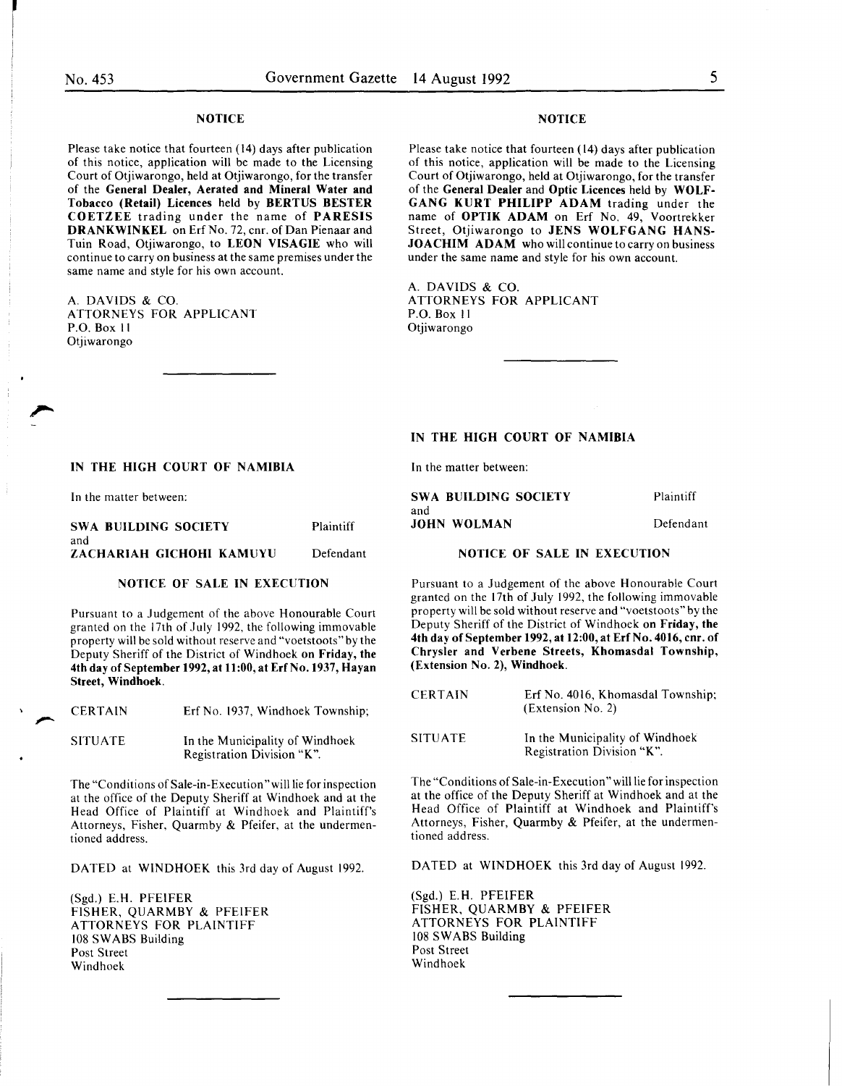# **NOTICE**

Please take notice that fourteen (14) days after publication of this notice, application will be made to the Licensing Court of Otjiwarongo, held at Otjiwarongo, for the transfer of the General Dealer, Aerated and Mineral Water and Tobacco (Retail) Licences held by BERTUS BESTER COETZEE trading under the name of PARESIS DRANKWINKEL on Erf No. 72, cnr. of Dan Pienaar and Tuin Road, Otjiwarongo, to LEON VISAGIE who will continue to carry on business at the same premises under the same name and style for his own account.

A. DAVIDS & CO. ATTORNEYS FOR APPLICANT P.O. Box II Otjiwarongo

## NOTICE

Please take notice that fourteen (14) days after publication of this notice, application will be made to the Licensing Court of Otjiwarongo, held at Otjiwarongo, for the transfer of the General Dealer and Optic Licences held by WOLF-GANG KURT PHILIPP ADAM trading under the name of OPTIK ADAM on Erf No. 49, Voortrekker Street, Otjiwarongo to JENS WOLFGANG HANS-JOACHIM ADAM who will continue to carry on business under the same name and style for his own account.

A. DAVIDS & CO. ATTORNEYS FOR APPLICANT P.O. Box II Otjiwarongo

# IN THE HIGH COURT OF NAMIBIA

In the matter between:

| <b>SWA BUILDING SOCIETY</b> | Plaintiff |
|-----------------------------|-----------|
| and                         |           |
| <b>JOHN WOLMAN</b>          | Defendant |

# IN THE HIGH COURT OF NAMIBIA

In the matter between:

| SWA BUILDING SOCIETY     | Plaintiff |
|--------------------------|-----------|
| and                      |           |
| ZACHARIAH GICHOHI KAMUYU | Defendant |

# NOTICE OF SALE IN EXECUTION

Pursuant to a Judgement of the above Honourable Court granted on the 17th of July 1992. the following immovable property will be sold without reserve and "voetstoots" by the Deputy Sheriff of the District of Windhoek on Friday, the 4th day of September 1992, at 11:00, at Erf No. 1937, Hayan Street, Windhoek.

CERTAIN Erf No. 1937, Windhoek Township;

SITUATE In the Municipality of Windhoek Registration Division "K".

The "Conditions of Sale-in-Execution "will lie for inspection at the office of the Deputy Sheriff at Windhoek and at the Head Office of Plaintiff at Windhoek and Plaintiff's Attorneys, Fisher, Quarmby & Pfeifer, at the undermentioned address.

DATED at WINDHOEK this 3rd day of August 1992.

(Sgd.) E.H. PFEIFER FISHER, QUARMBY & PFEIFER ATTORNEYS FOR PLAINTIFF 108 SWABS Building Post Street Windhoek

# NOTICE OF SALE IN EXECUTION

Pursuant to a Judgement of the above Honourable Court granted on the 17th of July 1992, the following immovable property will be sold without reserve and "voetstoots" by the Deputy Sheriff of the District of Windhoek on Friday, the 4th day of September 1992, at 12:00, at Erf No. 4016, cnr. of Chrysler and Verbene Streets, Khomasdal Township, (Extension No.2), Windhoek.

| <b>CERTAIN</b> | Erf No. 4016, Khomasdal Township;<br>(Extension No. 2)        |
|----------------|---------------------------------------------------------------|
| <b>SITUATE</b> | In the Municipality of Windhoek<br>Registration Division "K". |

The "Conditions of Sale-in-Execution" will lie for inspection at the office of the Deputy Sheriff at Windhoek and at the Head Office of Plaintiff at Windhoek and Plaintiff's Attorneys, Fisher, Quarmby & Pfeifer, at the undermentioned address.

DATED at WINDHOEK this 3rd day of August 1992.

(Sgd.) E. H. PFEIFER FISHER, QUARMBY & PFEIFER ATTORNEYS FOR PLAINTIFF 108 SWABS Building Post Street Windhoek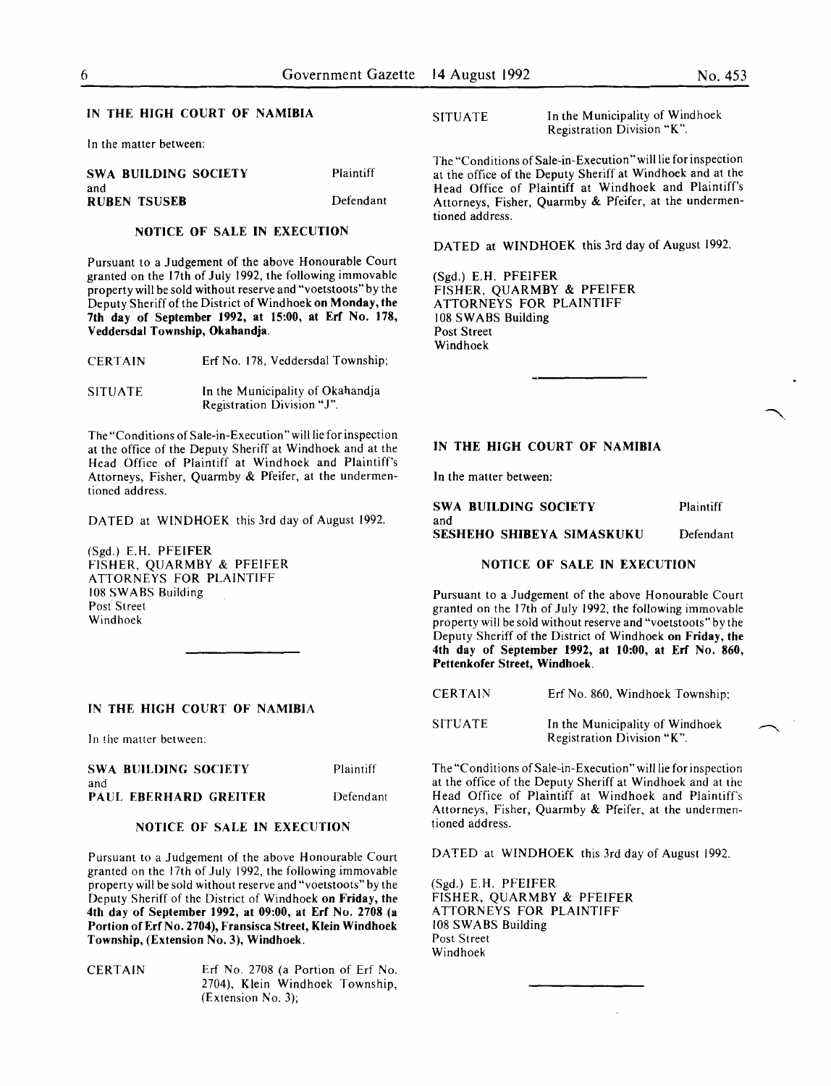#### IN THE HIGH COURT OF NAMIBIA

In the matter between:

| <b>SWA BUILDING SOCIETY</b> | Plaintiff |
|-----------------------------|-----------|
| and                         |           |
| <b>RUBEN TSUSEB</b>         | Defendant |

#### NOTICE OF SALE IN EXECUTION

Pursuant to a Judgement of the above Honourable Court granted on the 17th of July 1992, the following immovable property will be sold without reserve and "voetstoots" by the Deputy Sheriff of the District of Windhoek on Monday, the 7th day of September 1992, at 15:00, at Erf No. 178, Veddersdal Township, Okahandja.

| <b>CERTAIN</b> |  | Erf No. 178, Veddersdal Township; |  |
|----------------|--|-----------------------------------|--|
|                |  |                                   |  |

SITUATE In the Municipality of Okahandja Registration Division "J".

The "Conditions of Sale-in-Execution" will lie for inspection at the office of the Deputy Sheriff at Windhoek and at the Head Office of Plaintiff at Windhoek and Plaintiff's Attorneys, Fisher, Quarmby & Pfeifer, at the undermentioned address.

DATED at WINDHOEK this 3rd day of August 1992.

(Sgd.) E.H. PFEIFER FISHER, QUARMBY & PFEIFER ATTORNEYS FOR PLAINTIFF 108 SWABS Building Post Street Windhoek

### IN THE HIGH COURT OF NAMIBIA

In the matter between:

| SWA BUILDING SOCIETY                | Plaintiff |
|-------------------------------------|-----------|
| and<br><b>PAUL EBERHARD GREITER</b> | Defendant |

# NOTICE OF SALE IN EXECUTION

Pursuant to a Judgement of the above Honourable Court granted on the 17th of July 1992, the following immovable property will be sold without reserve and "voetstoots" by the Deputy Sheriff of the District of Windhoek on Friday, the 4th day of September 1992, at 09:00, at Erf No. 2708 (a Portion of Erf No. 2704), Fransisca Street, Klein Windhoek Township, (Extension No.3), Windhoek.

CERTAIN Erf No. 2708 (a Portion of Erf No. 2704), Klein Windhoek Township, (Extension No. 3);

SITUATE In the Municipality of Windhoek Registration Division "K ".

The "Conditions of Sale-in-Execution" will lie for inspection at the office of the Deputy Sheriff at Windhoek and at the Head Office of Plaintiff at Windhoek and Plaintiff's Attorneys, Fisher, Quarmby & Pfeifer, at the undermentioned address.

DATED at WINDHOEK this 3rd day of August 1992.

(Sgd.) E.H. PFEIFER FISHER, QUARMBY & PFEIFER ATTORNEYS FOR PLAINTIFF 108 SWABS Building Post Street Windhoek

# IN THE HIGH COURT OF NAMIBIA

In the matter between:

| SWA BUILDING SOCIETY      | Plaintiff |
|---------------------------|-----------|
| and                       |           |
| SESHEHO SHIBEYA SIMASKUKU | Defendant |

# NOTICE OF SALE IN EXECUTION

Pursuant to a Judgement of the above Honourable Court granted on the 17th of July 1992, the following immovable property will be sold without reserve and "voetstoots" by the Deputy Sheriff of the District of Windhoek on Friday, the 4th day of September 1992, at 10:00, at Erf No. 860, Pettenkofer Street, Windhoek.

| <b>CERTAIN</b> |  | Erf No. 860, Windhoek Township; |  |
|----------------|--|---------------------------------|--|
|                |  |                                 |  |

**SITUATE** In the Municipality of Windhoek Registration Division "K".

The "Conditions of Sale-in-Execution" will lie for inspection at the office of the Deputy Sheriff at Windhoek and at the Head Office of Plaintiff at Windhoek and Plaintiff's Attorneys, Fisher, Quarmby & Pfeifer, at the undermentioned address.

DATED at WINDHOEK this 3rd day of August 1992.

(Sgd.) E.H. PFEIFER FISHER, QUARMBY & PFEIFER ATTORNEYS FOR PLAINTIFF 108 SWABS Building Post Street Windhoek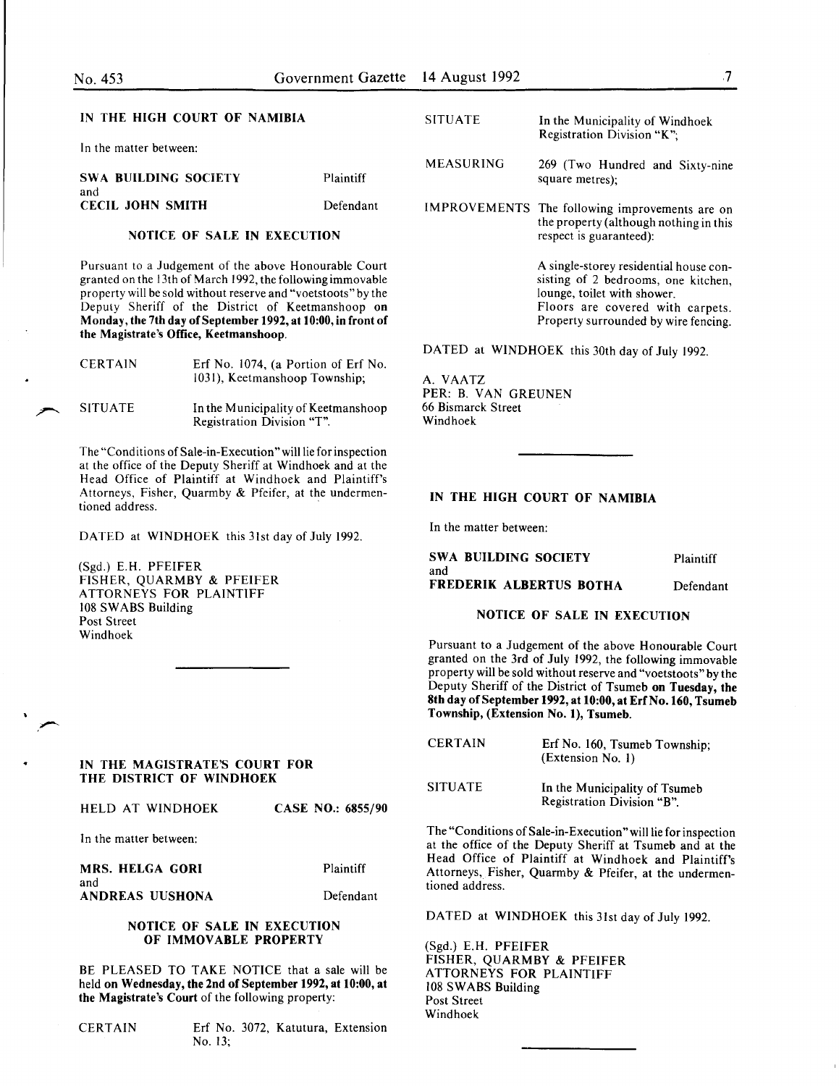#### IN THE HIGH COURT OF NAMIBIA

In the matter between:

SWA BUILDING SOCiETY and CECIL JOHN SMITH Plaintiff Defendant

# NOTICE OF SALE IN EXECUTION

Pursuant to a Judgement of the above Honourable Court granted on the 13th of March 1992, the following immovable property will be sold without reserve and "voetstoots" by the Deputy Sheriff of the District of Keetmanshoop on Monday, the 7th day of September 1992, at 10:00, in front of the Magistrate's Office, Keetmanshoop.

| <b>CERTAIN</b> | Erf No. 1074, (a Portion of Erf No.<br>1031), Keetmanshoop Township; |  |  |
|----------------|----------------------------------------------------------------------|--|--|
| <b>SITUATE</b> | In the Municipality of Keetmanshoop                                  |  |  |

Registration Division "T".

The "Conditions of Sale-in-Execution" will lie for inspection at the office of the Deputy Sheriff at Windhoek and at the Head Office of Plaintiff at Windhoek and Plaintiff's Attorneys, Fisher, Quarmby & Pfeifer, at the undermentioned address.

DATED at WINDHOEK this 31st day of July 1992.

(Sgd.) E.H. PFEIFER FISHER, QUARMBY & PFEIFER ATTORNEYS FOR PLAINTIFF 108 SWABS Building Post Street Windhoek

### IN THE MAGISTRATE'S COURT FOR THE DISTRICT OF WINDHOEK

| HELD AT WINDHOEK |  |  | CASE NO.: 6855/90 |
|------------------|--|--|-------------------|
|------------------|--|--|-------------------|

In the matter between:

MRS. HELGA GORI Plaintiff

| . |                 |           |
|---|-----------------|-----------|
|   | ANDREAS UUSHONA | Defendant |

#### NOTICE OF SALE IN EXECUTION OF IMMOVABLE PROPERTY

BE PLEASED TO TAKE NOTICE that a sale will be held on Wednesday, the 2nd of September 1992, at 10:00, at the Magistrate's Court of the following property:

| <b>CERTAIN</b> |  |  |
|----------------|--|--|
|----------------|--|--|

and

Erf No. 3072, Katutura, Extension No. 13;

- MEASURING 269 (Two Hundred and Sixty-nine square metres);
- IMPROVEMENTS The following improvements are on the property (although nothing in this respect is guaranteed):

A single-storey residential house consisting of 2 bedrooms, one kitchen, lounge, toilet with shower. Floors are covered with carpets. Property surrounded by wire fencing.

DATED at WINDHOEK this 30th day of July 1992.

A. VAATZ PER: B. VAN GREUNEN 66 Bismarck Street Windhoek

# IN THE HIGH COURT OF NAMIBIA

In the matter between:

SWA BUILDING SOCIETY and FREDERIK ALBERTUS BOTHA Plaintiff Defendant

# NOTICE OF SALE IN EXECUTION

Pursuant to a Judgement of the above Honourable Court granted on the 3rd of July 1992, the following immovable property will be sold without reserve and "voetstoots" by the Deputy Sheriff of the District of Tsumeb on Tuesday, the 8th day of September 1992, at 10:00, at Erf No. 160, Tsumeb Township, (Extension No.1), Tsumeb.

| <b>CERTAIN</b> | Erf No. 160, Tsumeb Township;<br>(Extension No. 1)          |
|----------------|-------------------------------------------------------------|
| <b>SITUATE</b> | In the Municipality of Tsumeb<br>Registration Division "B". |

The "Conditions of Sale-in-Execution" will lie for inspection at the office of the Deputy Sheriff at Tsumeb and at the Head Office of Plaintiff at Windhoek and Plaintiff's Attorneys, Fisher, Quarmby & Pfeifer, at the undermentioned address.

DATED at WINDHOEK this 31st day of July 1992.

(Sgd.) E.H. PFEIFER FISHER, QUARMBY & PFEIFER ATTORNEYS FOR PLAINTIFF 108 SWABS Building Post Street Windhoek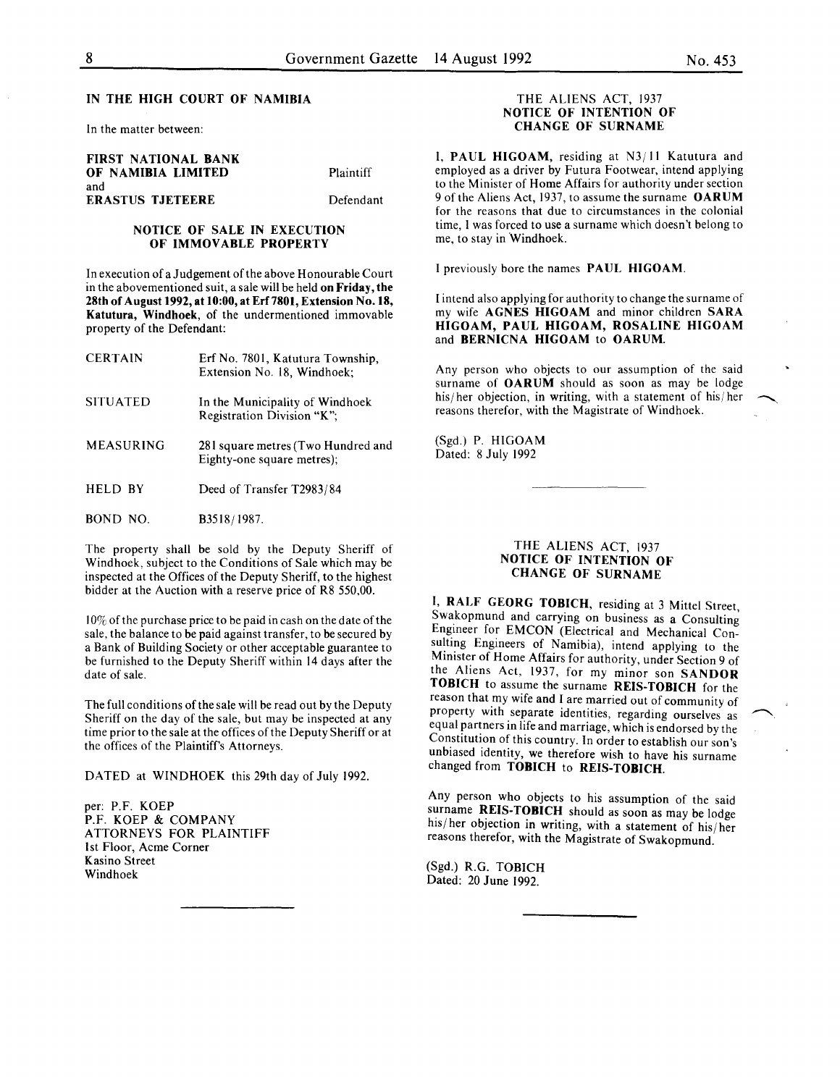In the matter between:

FIRST NATIONAL BANK OF NAMIBIA LIMITED and ERASTUS TJETEERE

Plaintiff

Defendant

# NOTICE OF SALE IN EXECUTION OF IMMOVABLE PROPERTY

In execution of a Judgement of the above Honourable Court in the abovementioned suit, a sale will be held on Friday, the 28th of August 1992, at 10:00, at Erf7801, Extension No.18, Katutura, Windhoek, of the undermentioned immovable property of the Defendant:

| <b>CERTAIN</b>   | Erf No. 7801, Katutura Township,<br>Extension No. 18, Windhoek;  |
|------------------|------------------------------------------------------------------|
| <b>SITUATED</b>  | In the Municipality of Windhoek<br>Registration Division "K":    |
| <b>MEASURING</b> | 281 square metres (Two Hundred and<br>Eighty-one square metres); |
| HELD BY          | Deed of Transfer T2983/84                                        |
| BOND NO.         | B3518/1987.                                                      |

The property shall be sold by the Deputy Sheriff of Windhoek, subject to the Conditions of Sale which may be inspected at the Offices of the Deputy Sheriff, to the highest bidder at the Auction with a reserve price of R8 550,00.

10% of the purchase price to be paid in cash on the date of the sale, the balance to be paid against transfer, to be secured by a Bank of Building Society or other acceptable guarantee to be furnished to the Deputy Sheriff within 14 days after the date of sale.

The full conditions of the sale will be read out by the Deputy Sheriff on the day of the sale, but may be inspected at any time prior to the sale at the offices of the Deputy Sheriff or at the offices of the Plaintiff's Attorneys.

DATED at WINDHOEK this 29th day of July 1992.

per: P.F. KOEP P.F. KOEP & COMPANY ATTORNEYS FOR PLAINTIFF 1st Floor, Acme Corner Kasino Street Windhoek

#### THE ALIENS ACT, 1937 NOTICE OF INTENTION OF CHANGE OF SURNAME

I, PAUL HIGOAM, residing at N3jll Katutura and employed as a driver by Futura Footwear, intend applying to the Minister of Home Affairs for authority under section 9 of the Aliens Act, 1937, to assume the surname OARUM for the reasons that due to circumstances in the colonial time, I was forced to use a surname which doesn't belong to me, to stay in 'Windhoek.

I previously bore the names PAUL HIGOAM.

I intend also applying for authority to change the surname of my wife AGNES HIGOAM and minor children SARA HIGOAM, PAUL HIGOAM, ROSALINE HIGOAM and BERNICNA HIGOAM to OARUM.

Any person who objects to our assumption of the said surname of OARUM should as soon as may be lodge his/her objection, in writing, with a statement of his/her reasons therefor, with the Magistrate of Windhoek.

(Sgd.) P. HIGOAM Dated: 8 July 1992

### THE ALIENS ACT, 1937 NOTICE OF INTENTiON OF CHANGE OF SURNAME

I. RALF GEORG TOBICH, residing at 3 Mittel Street, Swakopmund and carrying on business as a Consulting Engineer for EMCON (Electrical and Mechanical Consulting Engineers of Namibia), intend applying to the Minister of Home Affairs for authority, under Section 9 of the Aliens Act, 1937, for my minor son SANDOR TOBICH to assume the surname REIS-TOBICH for the reason that my wife and I are married out of community of property with separate identities, regarding ourselves as equal partners in life and marriage, which is endorsed by the Constitution of this country. In order to establish our son's unbiased identity, we therefore wish to have his surname changed from TOBICH to REIS-TOBICH.

Any person who objects to his assumption of the said  $\frac{1}{2}$ surname REIS-TOBICH should as soon as may be lodge his/her objection in writing, with a statement of his/her reasons therefor, with the Magistrate of Swakopmund.

(Sgd.) R.G. TOBICH Dated: 20 June 1992.